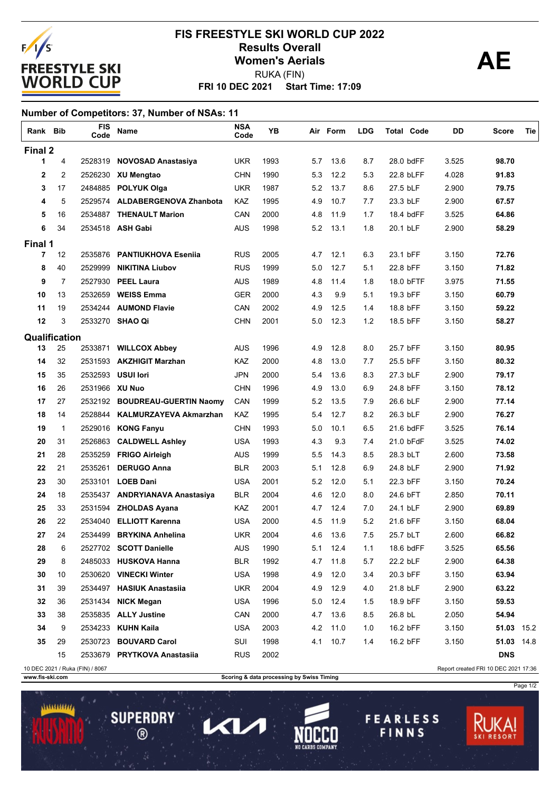

## **FRI 10 DEC 2021 Start Time: 17:09 FIS FREESTYLE SKI WORLD CUP 2022 Results Overall AE Women's Aerials** RUKA (FIN)

## **Number of Competitors: 37, Number of NSAs: 11**

| Rank Bib      |              | <b>FIS</b><br>Code              | Name                           | <b>NSA</b><br>Code | YΒ   |     | Air Form | <b>LDG</b> | <b>Total Code</b> | DD    | Score                                | Tie |
|---------------|--------------|---------------------------------|--------------------------------|--------------------|------|-----|----------|------------|-------------------|-------|--------------------------------------|-----|
| Final 2       |              |                                 |                                |                    |      |     |          |            |                   |       |                                      |     |
| 1             | 4            | 2528319                         | <b>NOVOSAD Anastasiya</b>      | UKR                | 1993 | 5.7 | 13.6     | 8.7        | 28.0 bdFF         | 3.525 | 98.70                                |     |
| 2             | 2            |                                 | 2526230 XU Mengtao             | <b>CHN</b>         | 1990 | 5.3 | 12.2     | 5.3        | 22.8 bLFF         | 4.028 | 91.83                                |     |
| 3             | 17           |                                 | 2484885 POLYUK Olga            | <b>UKR</b>         | 1987 | 5.2 | 13.7     | 8.6        | 27.5 bLF          | 2.900 | 79.75                                |     |
| 4             | 5            |                                 | 2529574 ALDABERGENOVA Zhanbota | <b>KAZ</b>         | 1995 | 4.9 | 10.7     | 7.7        | 23.3 bLF          | 2.900 | 67.57                                |     |
| 5             | 16           | 2534887                         | <b>THENAULT Marion</b>         | CAN                | 2000 | 4.8 | 11.9     | 1.7        | 18.4 bdFF         | 3.525 | 64.86                                |     |
| 6             | 34           |                                 | 2534518 ASH Gabi               | <b>AUS</b>         | 1998 | 5.2 | 13.1     | 1.8        | 20.1 bLF          | 2.900 | 58.29                                |     |
| Final 1       |              |                                 |                                |                    |      |     |          |            |                   |       |                                      |     |
| 7             | 12           | 2535876                         | <b>PANTIUKHOVA Esenija</b>     | <b>RUS</b>         | 2005 | 4.7 | 12.1     | 6.3        | 23.1 bFF          | 3.150 | 72.76                                |     |
| 8             | 40           | 2529999                         | <b>NIKITINA Liubov</b>         | <b>RUS</b>         | 1999 | 5.0 | 12.7     | 5.1        | 22.8 bFF          | 3.150 | 71.82                                |     |
| 9             | 7            | 2527930                         | <b>PEEL Laura</b>              | <b>AUS</b>         | 1989 | 4.8 | 11.4     | 1.8        | 18.0 bFTF         | 3.975 | 71.55                                |     |
| 10            | 13           | 2532659                         | <b>WEISS Emma</b>              | <b>GER</b>         | 2000 | 4.3 | 9.9      | 5.1        | 19.3 bFF          | 3.150 | 60.79                                |     |
| 11            | 19           |                                 | 2534244 AUMOND Flavie          | CAN                | 2002 | 4.9 | 12.5     | 1.4        | 18.8 bFF          | 3.150 | 59.22                                |     |
| 12            | 3            |                                 | 2533270 SHAO Qi                | <b>CHN</b>         | 2001 | 5.0 | 12.3     | 1.2        | 18.5 bFF          | 3.150 | 58.27                                |     |
| Qualification |              |                                 |                                |                    |      |     |          |            |                   |       |                                      |     |
| 13            | 25           |                                 | 2533871 WILLCOX Abbey          | <b>AUS</b>         | 1996 | 4.9 | 12.8     | 8.0        | 25.7 bFF          | 3.150 | 80.95                                |     |
| 14            | 32           | 2531593                         | <b>AKZHIGIT Marzhan</b>        | KAZ                | 2000 | 4.8 | 13.0     | 7.7        | 25.5 bFF          | 3.150 | 80.32                                |     |
| 15            | 35           | 2532593                         | <b>USUI lori</b>               | <b>JPN</b>         | 2000 | 5.4 | 13.6     | 8.3        | 27.3 bLF          | 2.900 | 79.17                                |     |
| 16            | 26           | 2531966 XU Nuo                  |                                | <b>CHN</b>         | 1996 | 4.9 | 13.0     | 6.9        | 24.8 bFF          | 3.150 | 78.12                                |     |
| 17            | 27           |                                 | 2532192 BOUDREAU-GUERTIN Naomy | CAN                | 1999 | 5.2 | 13.5     | 7.9        | 26.6 bLF          | 2.900 | 77.14                                |     |
| 18            | 14           | 2528844                         | <b>KALMURZAYEVA Akmarzhan</b>  | KAZ                | 1995 | 5.4 | 12.7     | 8.2        | 26.3 bLF          | 2.900 | 76.27                                |     |
| 19            | $\mathbf{1}$ | 2529016                         | <b>KONG Fanyu</b>              | <b>CHN</b>         | 1993 | 5.0 | 10.1     | 6.5        | 21.6 bdFF         | 3.525 | 76.14                                |     |
| 20            | 31           | 2526863                         | <b>CALDWELL Ashley</b>         | <b>USA</b>         | 1993 | 4.3 | 9.3      | 7.4        | 21.0 bFdF         | 3.525 | 74.02                                |     |
| 21            | 28           | 2535259                         | <b>FRIGO Airleigh</b>          | <b>AUS</b>         | 1999 | 5.5 | 14.3     | 8.5        | 28.3 bLT          | 2.600 | 73.58                                |     |
| 22            | 21           | 2535261                         | <b>DERUGO Anna</b>             | <b>BLR</b>         | 2003 | 5.1 | 12.8     | 6.9        | 24.8 bLF          | 2.900 | 71.92                                |     |
| 23            | 30           |                                 | 2533101 LOEB Dani              | <b>USA</b>         | 2001 | 5.2 | 12.0     | 5.1        | 22.3 bFF          | 3.150 | 70.24                                |     |
| 24            | 18           |                                 | 2535437 ANDRYIANAVA Anastasiya | <b>BLR</b>         | 2004 | 4.6 | 12.0     | 8.0        | 24.6 bFT          | 2.850 | 70.11                                |     |
| 25            | 33           | 2531594                         | <b>ZHOLDAS Ayana</b>           | KAZ                | 2001 | 4.7 | 12.4     | 7.0        | 24.1 bLF          | 2.900 | 69.89                                |     |
| 26            | 22           | 2534040                         | <b>ELLIOTT Karenna</b>         | <b>USA</b>         | 2000 | 4.5 | 11.9     | 5.2        | 21.6 bFF          | 3.150 | 68.04                                |     |
| 27            | 24           | 2534499                         | <b>BRYKINA Anhelina</b>        | <b>UKR</b>         | 2004 | 4.6 | 13.6     | 7.5        | 25.7 bLT          | 2.600 | 66.82                                |     |
| 28            | 6            |                                 | 2527702 SCOTT Danielle         | <b>AUS</b>         | 1990 | 5.1 | 12.4     | 1.1        | 18.6 bdFF         | 3.525 | 65.56                                |     |
| 29            | 8            |                                 | 2485033 HUSKOVA Hanna          | <b>BLR</b>         | 1992 | 4.7 | 11.8     | 5.7        | 22.2 bLF          | 2.900 | 64.38                                |     |
| 30            | 10           |                                 | 2530620 VINECKI Winter         | USA                | 1998 | 4.9 | 12.0     | 3.4        | 20.3 bFF          | 3.150 | 63.94                                |     |
| 31            | 39           |                                 | 2534497 HASIUK Anastasiia      | <b>UKR</b>         | 2004 | 4.9 | 12.9     | 4.0        | 21.8 bLF          | 2.900 | 63.22                                |     |
| 32            | 36           | 2531434                         | <b>NICK Megan</b>              | <b>USA</b>         | 1996 | 5.0 | 12.4     | 1.5        | 18.9 bFF          | 3.150 | 59.53                                |     |
| 33            | 38           |                                 | 2535835 ALLY Justine           | CAN                | 2000 | 4.7 | 13.6     | 8.5        | 26.8 bL           | 2.050 | 54.94                                |     |
| 34            | 9            |                                 | 2534233 KUHN Kaila             | <b>USA</b>         | 2003 | 4.2 | 11.0     | 1.0        | 16.2 bFF          | 3.150 | 51.03 15.2                           |     |
| 35            | 29           |                                 | 2530723 BOUVARD Carol          | SUI                | 1998 | 4.1 | 10.7     | 1.4        | 16.2 bFF          | 3.150 | 51.03 14.8                           |     |
|               | 15           |                                 | 2533679 PRYTKOVA Anastasiia    | <b>RUS</b>         | 2002 |     |          |            |                   |       | <b>DNS</b>                           |     |
|               |              | 10 DEC 2021 / Ruka (FIN) / 8067 |                                |                    |      |     |          |            |                   |       | Report created FRI 10 DEC 2021 17:36 |     |

**SUPERDRY** 

 $\circledR$ 

 $\overline{\mathbf{1}}$ 

 $\mathbf{Z}$ 

**www.fis-ski.com Scoring & data processing by Swiss Timing** 

**FEARLESS** 

FINNS

Page 1/2